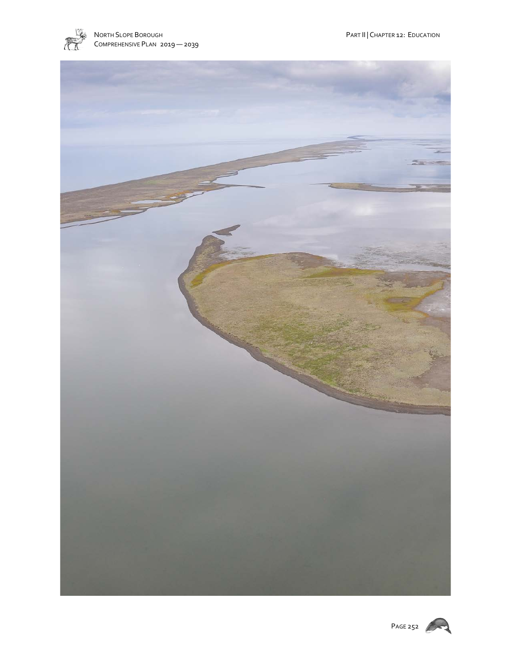

 $\tilde{\mathcal{X}}$ 



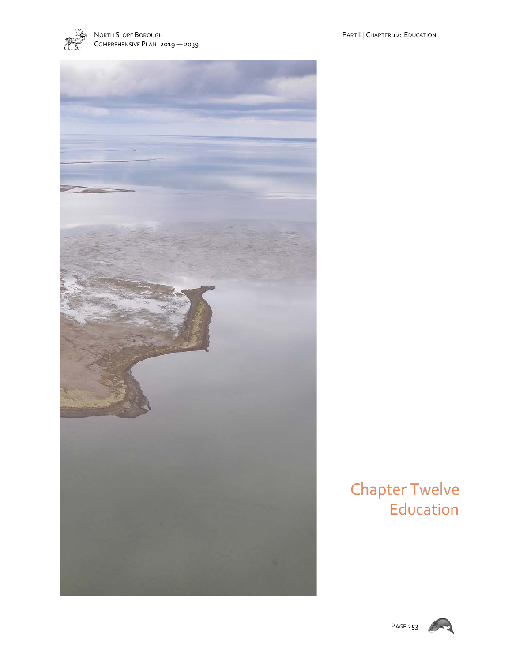

 $\overline{\mathcal{X}}$ 



**Chapter Twelve** Education

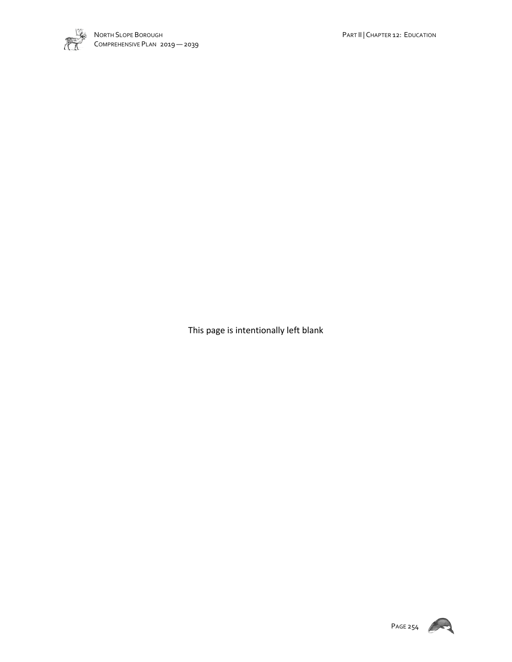

This page is intentionally left blank

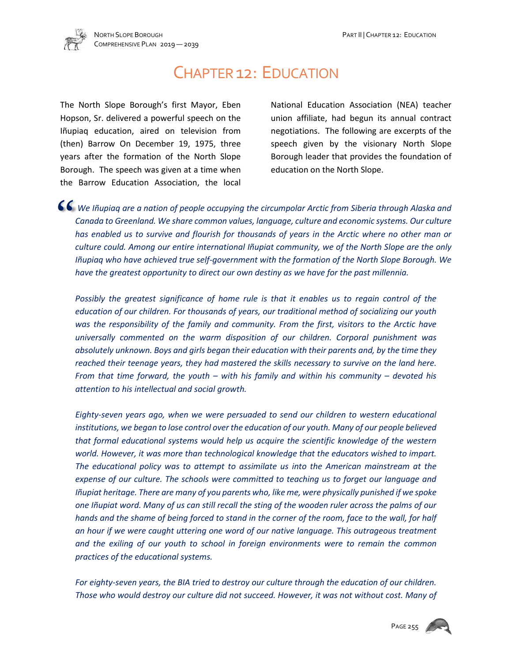

# COMPREHENSIVE PLAN 2019 — 2039

# CHAPTER 12: EDUCATION

The North Slope Borough's first Mayor, Eben Hopson, Sr. delivered a powerful speech on the Iñupiaq education, aired on television from (then) Barrow On December 19, 1975, three years after the formation of the North Slope Borough. The speech was given at a time when the Barrow Education Association, the local

National Education Association (NEA) teacher union affiliate, had begun its annual contract negotiations. The following are excerpts of the speech given by the visionary North Slope Borough leader that provides the foundation of education on the North Slope.

*We Iñupiaq are a nation of people occupying the circumpolar Arctic from Siberia through Alaska and Canada to Greenland. We share common values, language, culture and economic systems. Our culture has enabled us to survive and flourish for thousands of years in the Arctic where no other man or culture could. Among our entire international Iñupiat community, we of the North Slope are the only Iñupiaq who have achieved true self-government with the formation of the North Slope Borough. We have the greatest opportunity to direct our own destiny as we have for the past millennia.* **"** 

*Possibly the greatest significance of home rule is that it enables us to regain control of the education of our children. For thousands of years, our traditional method of socializing our youth*  was the responsibility of the family and community. From the first, visitors to the Arctic have *universally commented on the warm disposition of our children. Corporal punishment was absolutely unknown. Boys and girls began their education with their parents and, by the time they reached their teenage years, they had mastered the skills necessary to survive on the land here. From that time forward, the youth – with his family and within his community – devoted his attention to his intellectual and social growth.*

*Eighty-seven years ago, when we were persuaded to send our children to western educational institutions, we began to lose control over the education of our youth. Many of our people believed that formal educational systems would help us acquire the scientific knowledge of the western world. However, it was more than technological knowledge that the educators wished to impart. The educational policy was to attempt to assimilate us into the American mainstream at the expense of our culture. The schools were committed to teaching us to forget our language and Iñupiat heritage. There are many of you parents who, like me, were physically punished if we spoke one Iñupiat word. Many of us can still recall the sting of the wooden ruler across the palms of our hands and the shame of being forced to stand in the corner of the room, face to the wall, for half an hour if we were caught uttering one word of our native language. This outrageous treatment and the exiling of our youth to school in foreign environments were to remain the common practices of the educational systems.* 

*For eighty-seven years, the BIA tried to destroy our culture through the education of our children. Those who would destroy our culture did not succeed. However, it was not without cost. Many of* 

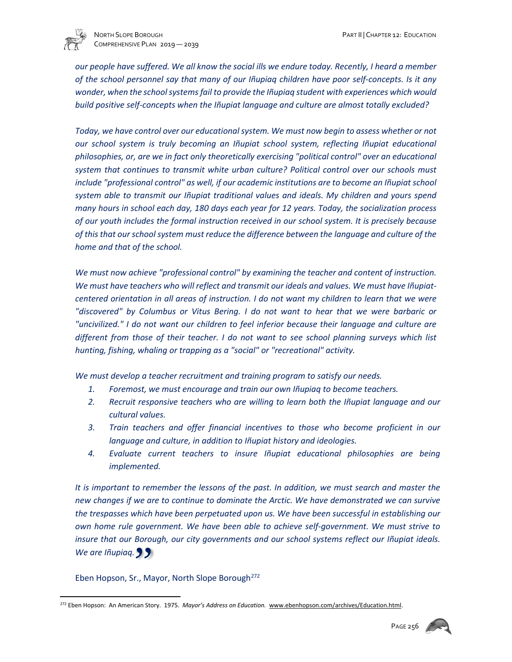

*our people have suffered. We all know the social ills we endure today. Recently, I heard a member of the school personnel say that many of our Iñupiaq children have poor self-concepts. Is it any wonder, when the school systems fail to provide the Iñupiaq student with experiences which would build positive self-concepts when the Iñupiat language and culture are almost totally excluded?*

*Today, we have control over our educational system. We must now begin to assess whether or not our school system is truly becoming an Iñupiat school system, reflecting Iñupiat educational philosophies, or, are we in fact only theoretically exercising "political control" over an educational system that continues to transmit white urban culture? Political control over our schools must include "professional control" as well, if our academic institutions are to become an Iñupiat school system able to transmit our Iñupiat traditional values and ideals. My children and yours spend many hours in school each day, 180 days each year for 12 years. Today, the socialization process of our youth includes the formal instruction received in our school system. It is precisely because of this that our school system must reduce the difference between the language and culture of the home and that of the school.*

*We must now achieve "professional control" by examining the teacher and content of instruction. We must have teachers who will reflect and transmit our ideals and values. We must have Iñupiatcentered orientation in all areas of instruction. I do not want my children to learn that we were "discovered" by Columbus or Vitus Bering. I do not want to hear that we were barbaric or "uncivilized." I do not want our children to feel inferior because their language and culture are different from those of their teacher. I do not want to see school planning surveys which list hunting, fishing, whaling or trapping as a "social" or "recreational" activity.*

*We must develop a teacher recruitment and training program to satisfy our needs.*

- *1. Foremost, we must encourage and train our own Iñupiaq to become teachers.*
- *2. Recruit responsive teachers who are willing to learn both the Iñupiat language and our cultural values.*
- *3. Train teachers and offer financial incentives to those who become proficient in our language and culture, in addition to Iñupiat history and ideologies.*
- *4. Evaluate current teachers to insure Iñupiat educational philosophies are being implemented.*

*It is important to remember the lessons of the past. In addition, we must search and master the new changes if we are to continue to dominate the Arctic. We have demonstrated we can survive the trespasses which have been perpetuated upon us. We have been successful in establishing our own home rule government. We have been able to achieve self-government. We must strive to insure that our Borough, our city governments and our school systems reflect our Iñupiat ideals. We are Iñupiaq.* "

Eben Hopson, Sr., Mayor, North Slope Borough<sup>272</sup>

<span id="page-4-0"></span> $\overline{\phantom{a}}$ <sup>272</sup> Eben Hopson: An American Story. 1975. *Mayor's Address on Education.* www.ebenhopson.com/archives/Education.html.

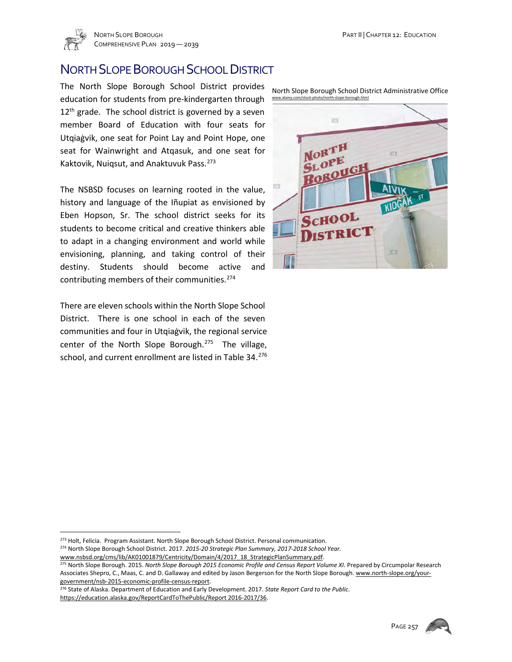

## NORTH SLOPE BOROUGH SCHOOL DISTRICT

The North Slope Borough School District provides education for students from pre-kindergarten through  $12<sup>th</sup>$  grade. The school district is governed by a seven member Board of Education with four seats for Utqiaġvik, one seat for Point Lay and Point Hope, one seat for Wainwright and Atqasuk, and one seat for Kaktovik, Nuiqsut, and Anaktuvuk Pass.[273](#page-5-0)

The NSBSD focuses on learning rooted in the value, history and language of the Iñupiat as envisioned by Eben Hopson, Sr. The school district seeks for its students to become critical and creative thinkers able to adapt in a changing environment and world while envisioning, planning, and taking control of their destiny. Students should become active and contributing members of their communities.[274](#page-5-1)

There are eleven schools within the North Slope School District. There is one school in each of the seven communities and four in Utqiaġvik, the regional service center of the North Slope Borough.[275](#page-5-2) The village, school, and current enrollment are listed in Table 34.<sup>[276](#page-5-3)</sup>

North Slope Borough School District Administrative Office www.alamy.com/stock-photo/north-slope-borough.html



<span id="page-5-1"></span><sup>274</sup> North Slope Borough School District. 2017. *2015-20 Strategic Plan Summary, 2017-2018 School Year.* 

<span id="page-5-3"></span>[https://education.alaska.gov/ReportCardToThePublic/Report 2016-2017/36.](https://education.alaska.gov/ReportCardToThePublic/Report%202016-2017/36) 



<span id="page-5-0"></span> $\overline{\phantom{a}}$ <sup>273</sup> Holt, Felicia. Program Assistant. North Slope Borough School District. Personal communication.

<span id="page-5-2"></span>www.nsbsd.org/cms/lib/AK01001879/Centricity/Domain/4/2017 18 StrategicPlanSummary.pdf.<br><sup>275</sup> North Slope Borough. 2015. North Slope Borough 2015 Economic Profile and Census Report Volume XI. Prepared by Circumpolar Researc Associates Shepro, C., Maas, C. and D. Gallaway and edited by Jason Bergerson for the North Slope Borough. www.north-slope.org/yourgovernment/nsb-2015-economic-profile-census-report.<br><sup>276</sup> State of Alaska. Department of Education and Early Development. 2017. *State Report Card to the Public.*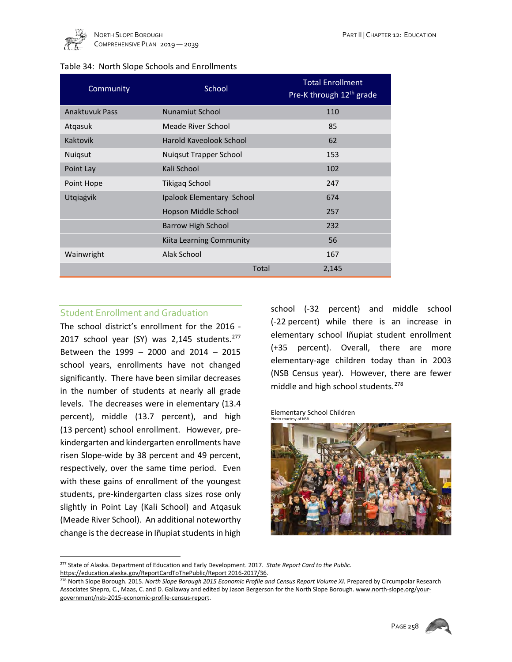

 $\overline{\phantom{a}}$ 

#### Table 34: North Slope Schools and Enrollments

| Community             | School                    | <b>Total Enrollment</b><br>Pre-K through 12 <sup>th</sup> grade |
|-----------------------|---------------------------|-----------------------------------------------------------------|
| <b>Anaktuvuk Pass</b> | <b>Nunamiut School</b>    | 110                                                             |
| Atqasuk               | Meade River School        | 85                                                              |
| Kaktovik              | Harold Kaveolook School   | 62                                                              |
| Nuigsut               | Nuigsut Trapper School    | 153                                                             |
| Point Lay             | Kali School               | 102                                                             |
| Point Hope            | <b>Tikigag School</b>     | 247                                                             |
| Utqiagvik             | Ipalook Elementary School | 674                                                             |
|                       | Hopson Middle School      | 257                                                             |
|                       | <b>Barrow High School</b> | 232                                                             |
|                       | Kiita Learning Community  | 56                                                              |
| Wainwright            | Alak School               | 167                                                             |
|                       | <b>Total</b>              | 2,145                                                           |

#### Student Enrollment and Graduation

The school district's enrollment for the 2016 - 2017 school year (SY) was 2,145 students.<sup>[277](#page-6-0)</sup> Between the 1999 – 2000 and 2014 – 2015 school years, enrollments have not changed significantly. There have been similar decreases in the number of students at nearly all grade levels. The decreases were in elementary (13.4 percent), middle (13.7 percent), and high (13 percent) school enrollment. However, prekindergarten and kindergarten enrollments have risen Slope-wide by 38 percent and 49 percent, respectively, over the same time period. Even with these gains of enrollment of the youngest students, pre-kindergarten class sizes rose only slightly in Point Lay (Kali School) and Atqasuk (Meade River School). An additional noteworthy change is the decrease in Iñupiat students in high

school (-32 percent) and middle school (-22 percent) while there is an increase in elementary school Iñupiat student enrollment (+35 percent). Overall, there are more elementary-age children today than in 2003 (NSB Census year). However, there are fewer middle and high school students.<sup>[278](#page-6-1)</sup>

Elementary School Children



<sup>277</sup> State of Alaska. Department of Education and Early Development. 2017. *State Report Card to the Public.* 



<span id="page-6-1"></span><span id="page-6-0"></span>https://education.alaska.gov/ReportCardToThePublic/Report 2016-2017/36.<br><sup>278</sup> North Slope Borough. 2015. *North Slope Borough 2015 Economic Profile and Census Report Volume XI.* Prepared by Circumpolar Research Associates Shepro, C., Maas, C. and D. Gallaway and edited by Jason Bergerson for the North Slope Borough. www.north-slope.org/yourgovernment/nsb-2015-economic-profile-census-report.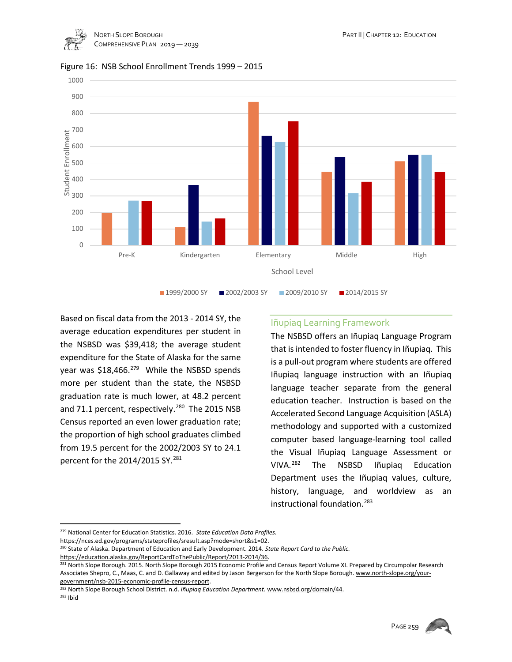



Figure 16: NSB School Enrollment Trends 1999 – 2015

Based on fiscal data from the 2013 - 2014 SY, the average education expenditures per student in the NSBSD was \$39,418; the average student expenditure for the State of Alaska for the same year was \$18,466.<sup>[279](#page-7-0)</sup> While the NSBSD spends more per student than the state, the NSBSD graduation rate is much lower, at 48.2 percent and 71.1 percent, respectively.<sup>280</sup> The 2015 NSB Census reported an even lower graduation rate; the proportion of high school graduates climbed from 19.5 percent for the 2002/2003 SY to 24.1 percent for the 2014/2015 SY. [281](#page-7-2) 

#### Iñupiaq Learning Framework

The NSBSD offers an Iñupiaq Language Program that is intended to foster fluency in Iñupiaq. This is a pull-out program where students are offered Iñupiaq language instruction with an Iñupiaq language teacher separate from the general education teacher. Instruction is based on the Accelerated Second Language Acquisition (ASLA) methodology and supported with a customized computer based language-learning tool called the Visual Iñupiaq Language Assessment or VIVA.[282](#page-7-3) The NSBSD Iñupiaq Education Department uses the Iñupiaq values, culture, history, language, and worldview as an instructional foundation. [283](#page-7-4)

<span id="page-7-3"></span>government/nsb-2015-economic-profile-census-report.<br><sup>282</sup> North Slope Borough School District. n.d. *Iñupiaq Education Department*. <u>www.nsbsd.org/domain/44</u>.<br><sup>283</sup> Ibid

<span id="page-7-4"></span>

 $\overline{\phantom{a}}$ 



<span id="page-7-0"></span><sup>279</sup> National Center for Education Statistics. 2016. *State Education Data Profiles.* 

<span id="page-7-1"></span>[https://nces.ed.gov/programs/stateprofiles/sresult.asp?mode=short&s1=02.](https://nces.ed.gov/programs/stateprofiles/sresult.asp?mode=short&s1=02)<br><sup>280</sup> State of Alaska. Department of Education and Early Development. 2014. *State Report Card to the Public.* 

<span id="page-7-2"></span>[https://education.alaska.gov/ReportCardToThePublic/Report/2013-2014/36.](https://education.alaska.gov/ReportCardToThePublic/Report/2013-2014/36)<br><sup>281</sup> North Slope Borough. 2015. North Slope Borough 2015 Economic Profile and Census Report Volume XI. Prepared by Circumpolar Research Associates Shepro, C., Maas, C. and D. Gallaway and edited by Jason Bergerson for the North Slope Borough. www.north-slope.org/your-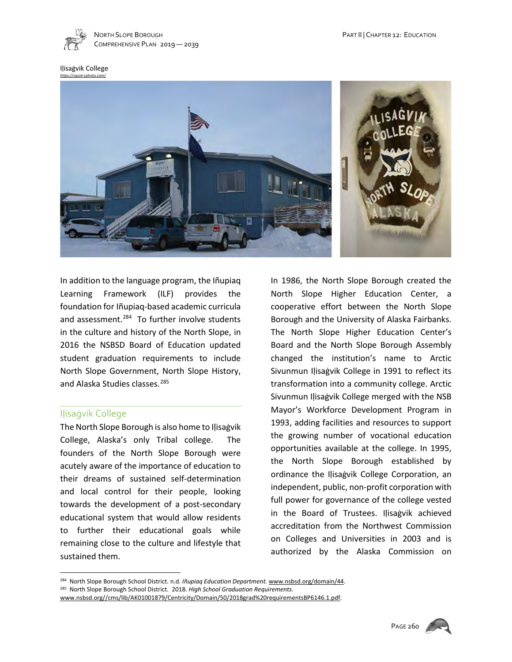

Iḷisaġvik College



In addition to the language program, the Iñupiaq Learning Framework (ILF) provides the foundation for Iñupiaq-based academic curricula and assessment.<sup>284</sup> To further involve students in the culture and history of the North Slope, in 2016 the NSBSD Board of Education updated student graduation requirements to include North Slope Government, North Slope History, and Alaska Studies classes.<sup>[285](#page-8-1)</sup>

#### Iḷisaġvik College

 $\overline{\phantom{a}}$ 

The North Slope Borough is also home to Iḷisaġvik College, Alaska's only Tribal college. The founders of the North Slope Borough were acutely aware of the importance of education to their dreams of sustained self-determination and local control for their people, looking towards the development of a post-secondary educational system that would allow residents to further their educational goals while remaining close to the culture and lifestyle that sustained them.

In 1986, the North Slope Borough created the North Slope Higher Education Center, a cooperative effort between the North Slope Borough and the University of Alaska Fairbanks. The North Slope Higher Education Center's Board and the North Slope Borough Assembly changed the institution's name to Arctic Sivunmun Iḷisaġvik College in 1991 to reflect its transformation into a community college. Arctic Sivunmun Iḷisaġvik College merged with the NSB Mayor's Workforce Development Program in 1993, adding facilities and resources to support the growing number of vocational education opportunities available at the college. In 1995, the North Slope Borough established by ordinance the Iḷisaġvik College Corporation, an independent, public, non-profit corporation with full power for governance of the college vested in the Board of Trustees. Iḷisaġvik achieved accreditation from the Northwest Commission on Colleges and Universities in 2003 and is authorized by the Alaska Commission on

<span id="page-8-1"></span><span id="page-8-0"></span>284 North Slope Borough School District. n.d. *Iñupiaq Education Department.* [www.nsbsd.org/domain/44.](http://www.nsbsd.org/domain/44) 285 North Slope Borough School District. 2018. *High School Graduation Requirements*. [www.nsbsd.org//cms/lib/AK01001879/Centricity/Domain/50/2018grad%20requirementsBP6146.1.pdf.](http://www.nsbsd.org/cms/lib/AK01001879/Centricity/Domain/50/2018grad%20requirementsBP6146.1.pdf) 

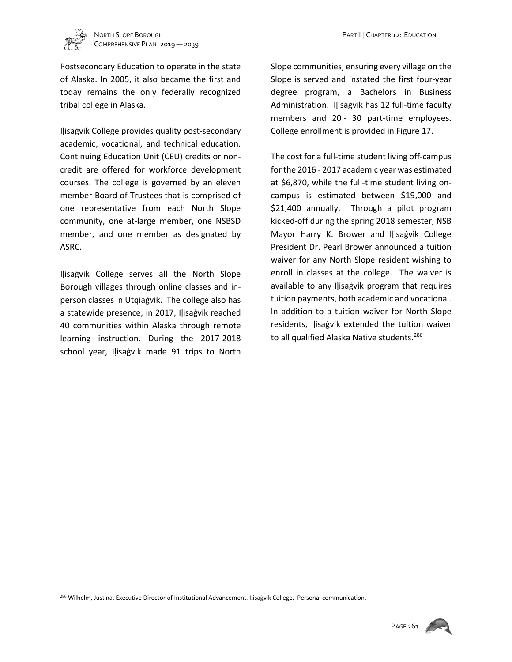

 $\overline{\phantom{a}}$ 

Postsecondary Education to operate in the state of Alaska. In 2005, it also became the first and today remains the only federally recognized tribal college in Alaska.

Iḷisaġvik College provides quality post-secondary academic, vocational, and technical education. Continuing Education Unit (CEU) credits or noncredit are offered for workforce development courses. The college is governed by an eleven member Board of Trustees that is comprised of one representative from each North Slope community, one at-large member, one NSBSD member, and one member as designated by ASRC.

Ilisagvik College serves all the North Slope Borough villages through online classes and inperson classes in Utqiaġvik. The college also has a statewide presence; in 2017, Iḷisaġvik reached 40 communities within Alaska through remote learning instruction. During the 2017-2018 school year, Ilisagvik made 91 trips to North

Slope communities, ensuring every village on the Slope is served and instated the first four-year degree program, a Bachelors in Business Administration. Ilisagvik has 12 full-time faculty members and 20 - 30 part-time employees. College enrollment is provided in Figure 17.

The cost for a full-time student living off-campus for the 2016 - 2017 academic year was estimated at \$6,870, while the full-time student living oncampus is estimated between \$19,000 and \$21,400 annually. Through a pilot program kicked-off during the spring 2018 semester, NSB Mayor Harry K. Brower and Iḷisaġvik College President Dr. Pearl Brower announced a tuition waiver for any North Slope resident wishing to enroll in classes at the college. The waiver is available to any Ilisagvik program that requires tuition payments, both academic and vocational. In addition to a tuition waiver for North Slope residents, Ilisagvik extended the tuition waiver to all qualified Alaska Native students.<sup>[286](#page-9-0)</sup>

<span id="page-9-0"></span><sup>&</sup>lt;sup>286</sup> Wilhelm, Justina. Executive Director of Institutional Advancement. Ilisaġvik College. Personal communication.

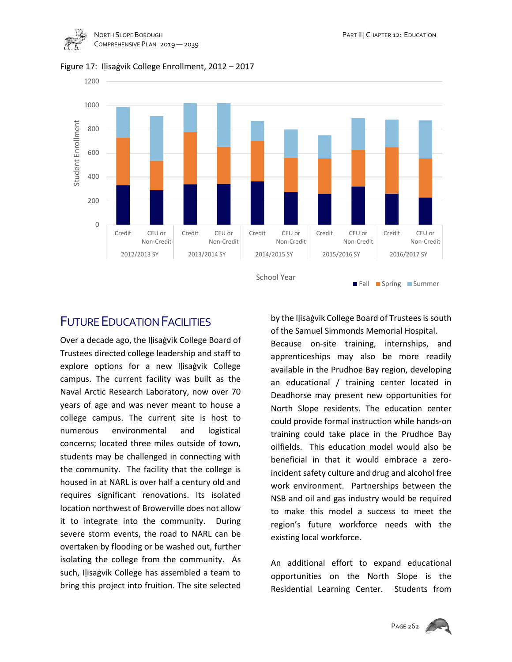



Figure 17: Iḷisaġvik College Enrollment, 2012 – 2017

## FUTURE EDUCATION FACILITIES

Over a decade ago, the Iḷisaġvik College Board of Trustees directed college leadership and staff to explore options for a new Iḷisaġvik College campus. The current facility was built as the Naval Arctic Research Laboratory, now over 70 years of age and was never meant to house a college campus. The current site is host to numerous environmental and logistical concerns; located three miles outside of town, students may be challenged in connecting with the community. The facility that the college is housed in at NARL is over half a century old and requires significant renovations. Its isolated location northwest of Browerville does not allow it to integrate into the community. During severe storm events, the road to NARL can be overtaken by flooding or be washed out, further isolating the college from the community. As such, Ilisagvik College has assembled a team to bring this project into fruition. The site selected by the Iḷisaġvik College Board of Trustees is south of the Samuel Simmonds Memorial Hospital.

Because on-site training, internships, and apprenticeships may also be more readily available in the Prudhoe Bay region, developing an educational / training center located in Deadhorse may present new opportunities for North Slope residents. The education center could provide formal instruction while hands-on training could take place in the Prudhoe Bay oilfields. This education model would also be beneficial in that it would embrace a zeroincident safety culture and drug and alcohol free work environment. Partnerships between the NSB and oil and gas industry would be required to make this model a success to meet the region's future workforce needs with the existing local workforce.

An additional effort to expand educational opportunities on the North Slope is the Residential Learning Center. Students from

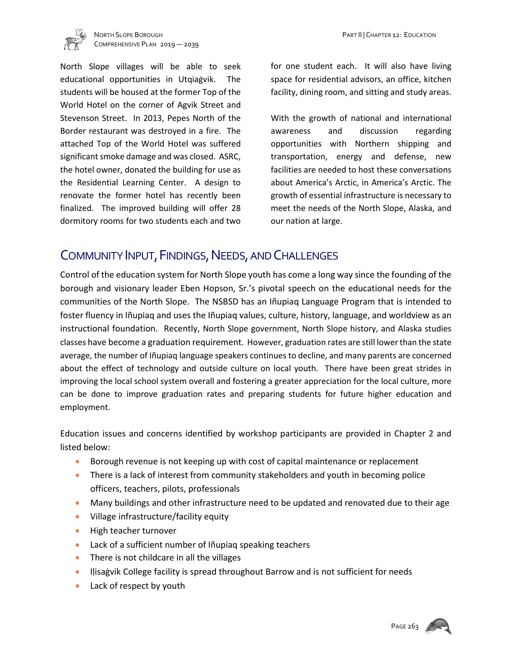

NORTH SLOPE BOROUGH **PART II | CHAPTER 12: EDUCATION** COMPREHENSIVE PLAN 2019 — 2039

North Slope villages will be able to seek educational opportunities in Utqiaġvik. The students will be housed at the former Top of the World Hotel on the corner of Agvik Street and Stevenson Street. In 2013, Pepes North of the Border restaurant was destroyed in a fire. The attached Top of the World Hotel was suffered significant smoke damage and was closed. ASRC, the hotel owner, donated the building for use as the Residential Learning Center. A design to renovate the former hotel has recently been finalized. The improved building will offer 28 dormitory rooms for two students each and two

for one student each. It will also have living space for residential advisors, an office, kitchen facility, dining room, and sitting and study areas.

With the growth of national and international awareness and discussion regarding opportunities with Northern shipping and transportation, energy and defense, new facilities are needed to host these conversations about America's Arctic, in America's Arctic. The growth of essential infrastructure is necessary to meet the needs of the North Slope, Alaska, and our nation at large.

# COMMUNITY INPUT, FINDINGS, NEEDS, AND CHALLENGES

Control of the education system for North Slope youth has come a long way since the founding of the borough and visionary leader Eben Hopson, Sr.'s pivotal speech on the educational needs for the communities of the North Slope. The NSBSD has an Iñupiaq Language Program that is intended to foster fluency in Iñupiaq and uses the Iñupiaq values, culture, history, language, and worldview as an instructional foundation. Recently, North Slope government, North Slope history, and Alaska studies classes have become a graduation requirement. However, graduation rates are still lower than the state average, the number of Iñupiaq language speakers continues to decline, and many parents are concerned about the effect of technology and outside culture on local youth. There have been great strides in improving the local school system overall and fostering a greater appreciation for the local culture, more can be done to improve graduation rates and preparing students for future higher education and employment.

Education issues and concerns identified by workshop participants are provided in Chapter 2 and listed below:

- Borough revenue is not keeping up with cost of capital maintenance or replacement
- There is a lack of interest from community stakeholders and youth in becoming police officers, teachers, pilots, professionals
- Many buildings and other infrastructure need to be updated and renovated due to their age
- Village infrastructure/facility equity
- High teacher turnover
- Lack of a sufficient number of Iñupiaq speaking teachers
- There is not childcare in all the villages
- Ilisagvik College facility is spread throughout Barrow and is not sufficient for needs
- Lack of respect by youth

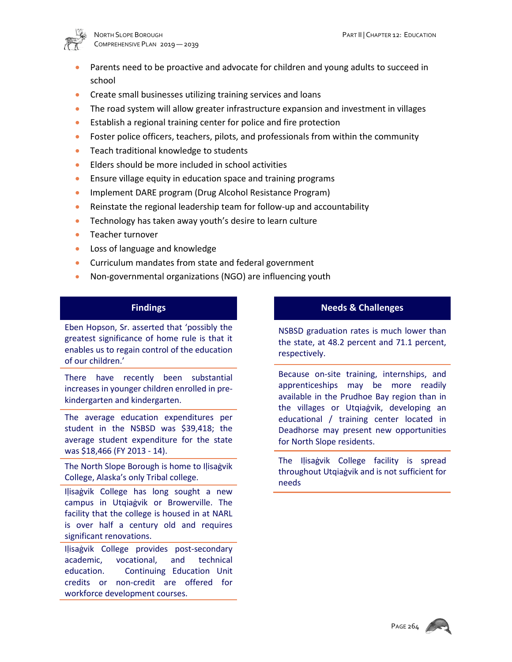

NORTH SLOPE BOROUGH **PART II | CHAPTER 12: EDUCATION** COMPREHENSIVE PLAN 2019 — 2039

- Parents need to be proactive and advocate for children and young adults to succeed in school
- Create small businesses utilizing training services and loans
- The road system will allow greater infrastructure expansion and investment in villages
- Establish a regional training center for police and fire protection
- Foster police officers, teachers, pilots, and professionals from within the community
- Teach traditional knowledge to students
- Elders should be more included in school activities
- Ensure village equity in education space and training programs
- Implement DARE program (Drug Alcohol Resistance Program)
- Reinstate the regional leadership team for follow-up and accountability
- Technology has taken away youth's desire to learn culture
- Teacher turnover
- Loss of language and knowledge
- Curriculum mandates from state and federal government
- Non-governmental organizations (NGO) are influencing youth

### **Findings**

Eben Hopson, Sr. asserted that 'possibly the greatest significance of home rule is that it enables us to regain control of the education of our children.'

There have recently been substantial increases in younger children enrolled in prekindergarten and kindergarten.

The average education expenditures per student in the NSBSD was \$39,418; the average student expenditure for the state was \$18,466 (FY 2013 - 14).

The North Slope Borough is home to Ilisagvik College, Alaska's only Tribal college.

Ilisaġvik College has long sought a new campus in Utqiaġvik or Browerville. The facility that the college is housed in at NARL is over half a century old and requires significant renovations.

Ilisaġvik College provides post-secondary academic, vocational, and technical education. Continuing Education Unit credits or non-credit are offered for workforce development courses.

### **Needs & Challenges**

NSBSD graduation rates is much lower than the state, at 48.2 percent and 71.1 percent, respectively.

Because on-site training, internships, and apprenticeships may be more readily available in the Prudhoe Bay region than in the villages or Utqiaġvik, developing an educational / training center located in Deadhorse may present new opportunities for North Slope residents.

The Ilisagvik College facility is spread throughout Utqiaġvik and is not sufficient for needs

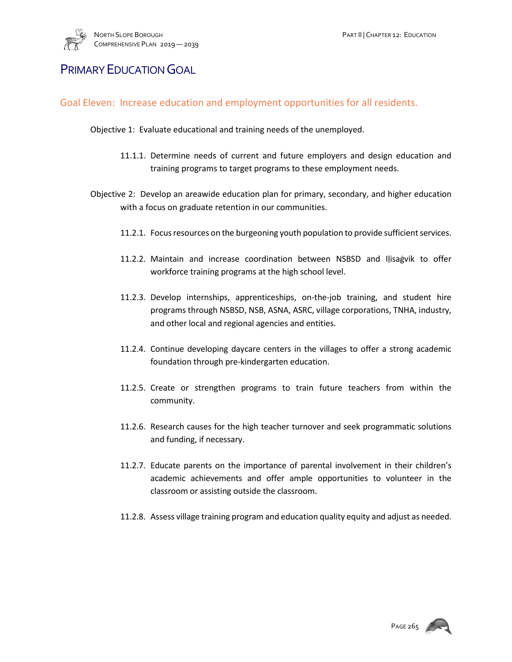## PRIMARY EDUCATION GOAL

### Goal Eleven: Increase education and employment opportunities for all residents.

Objective 1: Evaluate educational and training needs of the unemployed.

- 11.1.1. Determine needs of current and future employers and design education and training programs to target programs to these employment needs.
- Objective 2: Develop an areawide education plan for primary, secondary, and higher education with a focus on graduate retention in our communities.
	- 11.2.1. Focus resources on the burgeoning youth population to provide sufficient services.
	- 11.2.2. Maintain and increase coordination between NSBSD and Iḷisaġvik to offer workforce training programs at the high school level.
	- 11.2.3. Develop internships, apprenticeships, on-the-job training, and student hire programs through NSBSD, NSB, ASNA, ASRC, village corporations, TNHA, industry, and other local and regional agencies and entities.
	- 11.2.4. Continue developing daycare centers in the villages to offer a strong academic foundation through pre-kindergarten education.
	- 11.2.5. Create or strengthen programs to train future teachers from within the community.
	- 11.2.6. Research causes for the high teacher turnover and seek programmatic solutions and funding, if necessary.
	- 11.2.7. Educate parents on the importance of parental involvement in their children's academic achievements and offer ample opportunities to volunteer in the classroom or assisting outside the classroom.
	- 11.2.8. Assess village training program and education quality equity and adjust as needed.

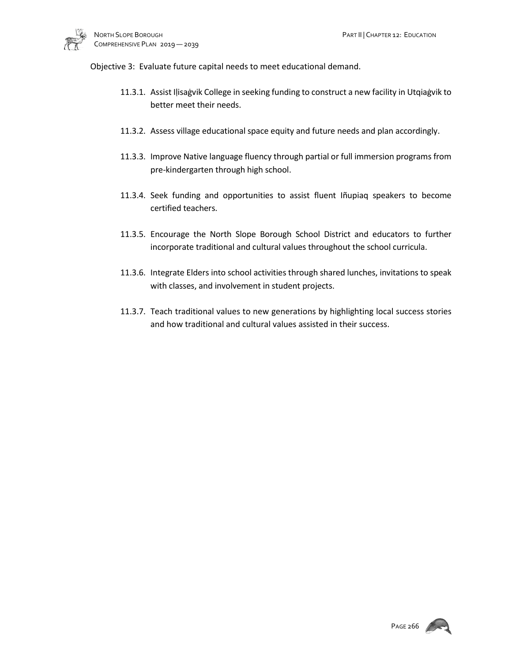

Objective 3: Evaluate future capital needs to meet educational demand.

- 11.3.1. Assist Iḷisaġvik College in seeking funding to construct a new facility in Utqiaġvik to better meet their needs.
- 11.3.2. Assess village educational space equity and future needs and plan accordingly.
- 11.3.3. Improve Native language fluency through partial or full immersion programs from pre-kindergarten through high school.
- 11.3.4. Seek funding and opportunities to assist fluent Iñupiaq speakers to become certified teachers.
- 11.3.5. Encourage the North Slope Borough School District and educators to further incorporate traditional and cultural values throughout the school curricula.
- 11.3.6. Integrate Elders into school activities through shared lunches, invitations to speak with classes, and involvement in student projects.
- 11.3.7. Teach traditional values to new generations by highlighting local success stories and how traditional and cultural values assisted in their success.